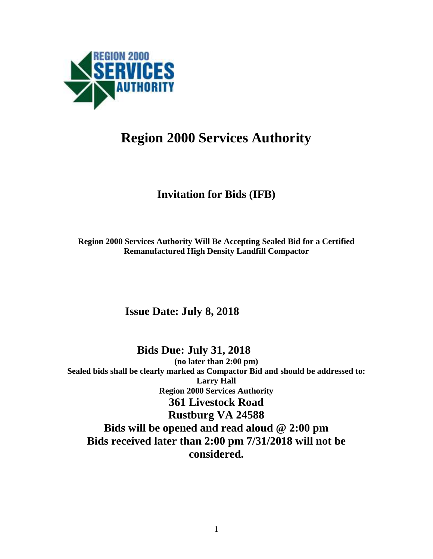

# **Region 2000 Services Authority**

## **Invitation for Bids (IFB)**

**Region 2000 Services Authority Will Be Accepting Sealed Bid for a Certified Remanufactured High Density Landfill Compactor** 

## **Issue Date: July 8, 2018**

 **Bids Due: July 31, 2018 (no later than 2:00 pm) Sealed bids shall be clearly marked as Compactor Bid and should be addressed to: Larry Hall Region 2000 Services Authority 361 Livestock Road Rustburg VA 24588 Bids will be opened and read aloud @ 2:00 pm Bids received later than 2:00 pm 7/31/2018 will not be considered.**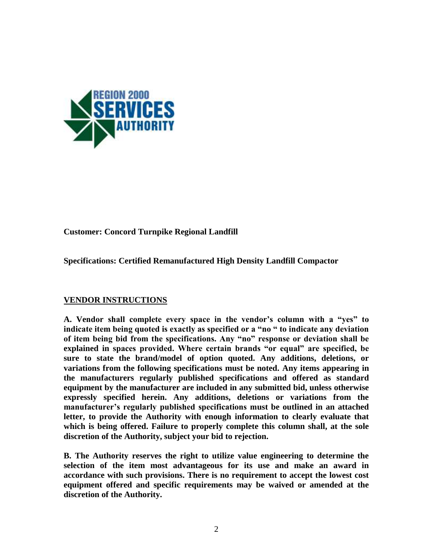

#### **Customer: Concord Turnpike Regional Landfill**

**Specifications: Certified Remanufactured High Density Landfill Compactor**

#### **VENDOR INSTRUCTIONS**

**A. Vendor shall complete every space in the vendor's column with a "yes" to indicate item being quoted is exactly as specified or a "no " to indicate any deviation of item being bid from the specifications. Any "no" response or deviation shall be explained in spaces provided. Where certain brands "or equal" are specified, be sure to state the brand/model of option quoted. Any additions, deletions, or variations from the following specifications must be noted. Any items appearing in the manufacturers regularly published specifications and offered as standard equipment by the manufacturer are included in any submitted bid, unless otherwise expressly specified herein. Any additions, deletions or variations from the manufacturer's regularly published specifications must be outlined in an attached letter, to provide the Authority with enough information to clearly evaluate that which is being offered. Failure to properly complete this column shall, at the sole discretion of the Authority, subject your bid to rejection.**

**B. The Authority reserves the right to utilize value engineering to determine the selection of the item most advantageous for its use and make an award in accordance with such provisions. There is no requirement to accept the lowest cost equipment offered and specific requirements may be waived or amended at the discretion of the Authority.**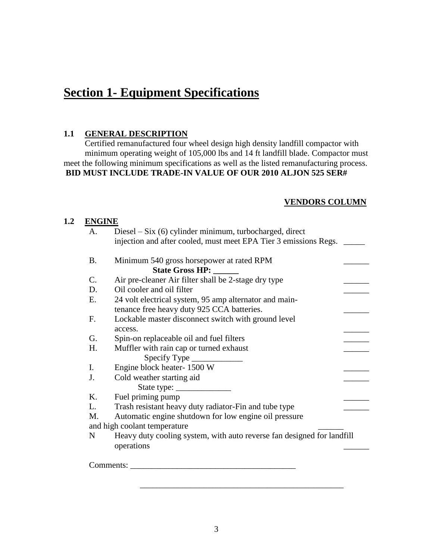# **Section 1- Equipment Specifications**

## **1.1 GENERAL DESCRIPTION**

 Certified remanufactured four wheel design high density landfill compactor with minimum operating weight of 105,000 lbs and 14 ft landfill blade. Compactor must meet the following minimum specifications as well as the listed remanufacturing process. **BID MUST INCLUDE TRADE-IN VALUE OF OUR 2010 ALJON 525 SER#**

#### **VENDORS COLUMN**

#### **1.2 ENGINE**

| <b>B.</b>      | Minimum 540 gross horsepower at rated RPM                                            |
|----------------|--------------------------------------------------------------------------------------|
|                | State Gross HP:                                                                      |
| $\mathbf{C}$ . | Air pre-cleaner Air filter shall be 2-stage dry type                                 |
| D.             | Oil cooler and oil filter                                                            |
| Ε.             | 24 volt electrical system, 95 amp alternator and main-                               |
|                | tenance free heavy duty 925 CCA batteries.                                           |
| F.             | Lockable master disconnect switch with ground level                                  |
|                | access.                                                                              |
| G.             | Spin-on replaceable oil and fuel filters                                             |
| H.             | Muffler with rain cap or turned exhaust                                              |
|                | $Specify Type \_$                                                                    |
| I.             | Engine block heater-1500 W                                                           |
| J.             | Cold weather starting aid                                                            |
|                |                                                                                      |
| Κ.             | Fuel priming pump                                                                    |
| L.             | Trash resistant heavy duty radiator-Fin and tube type                                |
| M.             | Automatic engine shutdown for low engine oil pressure                                |
|                | and high coolant temperature                                                         |
| $\mathbf N$    | Heavy duty cooling system, with auto reverse fan designed for landfill<br>operations |

\_\_\_\_\_\_\_\_\_\_\_\_\_\_\_\_\_\_\_\_\_\_\_\_\_\_\_\_\_\_\_\_\_\_\_\_\_\_\_\_\_\_\_\_\_\_\_\_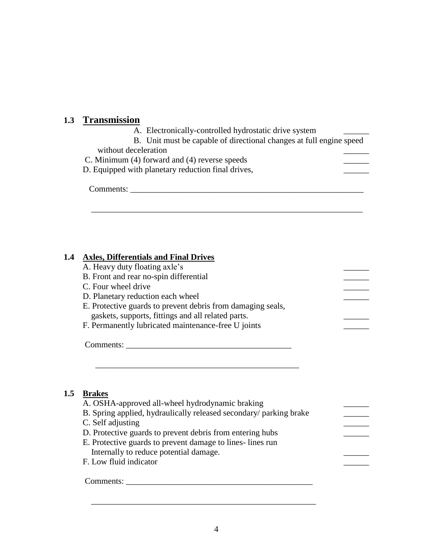## **1.3 Transmission**

A. Electronically-controlled hydrostatic drive system

\_\_\_\_\_\_\_\_\_\_\_\_\_\_\_\_\_\_\_\_\_\_\_\_\_\_\_\_\_\_\_\_\_\_\_\_\_\_\_\_\_\_\_\_\_\_\_\_\_\_\_\_\_\_\_\_\_\_\_\_\_\_\_\_

B. Unit must be capable of directional changes at full engine speed

without deceleration

C. Minimum (4) forward and (4) reverse speeds  $\qquad \qquad \qquad$ 

D. Equipped with planetary reduction final drives,

Comments: \_\_\_\_\_\_\_\_\_\_\_\_\_\_\_\_\_\_\_\_\_\_\_\_\_\_\_\_\_\_\_\_\_\_\_\_\_\_\_\_\_\_\_\_\_\_\_\_\_\_\_\_\_\_\_

#### **1.4 Axles, Differentials and Final Drives**

- A. Heavy duty floating axle's
- B. Front and rear no-spin differential C. Four wheel drive
- 
- D. Planetary reduction each wheel
- E. Protective guards to prevent debris from damaging seals, gaskets, supports, fittings and all related parts. \_\_\_\_\_\_

\_\_\_\_\_\_\_\_\_\_\_\_\_\_\_\_\_\_\_\_\_\_\_\_\_\_\_\_\_\_\_\_\_\_\_\_\_\_\_\_\_\_\_\_\_\_\_\_

F. Permanently lubricated maintenance-free U joints

Comments: \_\_\_\_\_\_\_\_\_\_\_\_\_\_\_\_\_\_\_\_\_\_\_\_\_\_\_\_\_\_\_\_\_\_\_\_\_\_\_

## **1.5 Brakes**

| A. OSHA-approved all-wheel hydrodynamic braking<br>B. Spring applied, hydraulically released secondary/ parking brake |  |
|-----------------------------------------------------------------------------------------------------------------------|--|
| C. Self adjusting                                                                                                     |  |
| D. Protective guards to prevent debris from entering hubs                                                             |  |
| E. Protective guards to prevent damage to lines-lines run                                                             |  |
| Internally to reduce potential damage.                                                                                |  |
| F. Low fluid indicator                                                                                                |  |

 $\overline{\phantom{a}}$  , and the contract of the contract of the contract of the contract of the contract of the contract of the contract of the contract of the contract of the contract of the contract of the contract of the contrac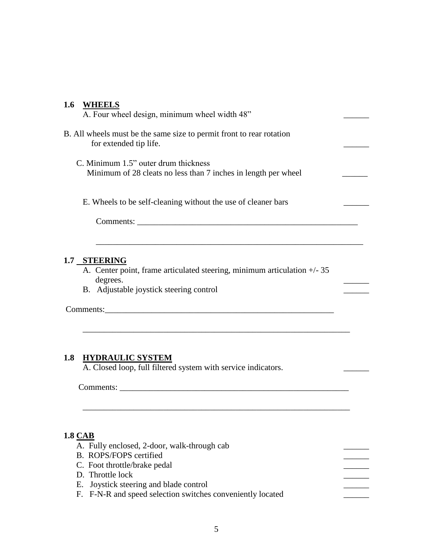#### **1.6 WHEELS**

| A. Four wheel design, minimum wheel width 48"                                                          |  |
|--------------------------------------------------------------------------------------------------------|--|
| B. All wheels must be the same size to permit front to rear rotation<br>for extended tip life.         |  |
| C. Minimum 1.5" outer drum thickness<br>Minimum of 28 cleats no less than 7 inches in length per wheel |  |
| E. Wheels to be self-cleaning without the use of cleaner bars                                          |  |
| Comments:                                                                                              |  |

\_\_\_\_\_\_\_\_\_\_\_\_\_\_\_\_\_\_\_\_\_\_\_\_\_\_\_\_\_\_\_\_\_\_\_\_\_\_\_\_\_\_\_\_\_\_\_\_\_\_\_\_\_\_\_\_\_\_\_\_\_\_\_

#### **1.7 STEERING**

A. Center point, frame articulated steering, minimum articulation +/- 35 degrees.

\_\_\_\_\_\_\_\_\_\_\_\_\_\_\_\_\_\_\_\_\_\_\_\_\_\_\_\_\_\_\_\_\_\_\_\_\_\_\_\_\_\_\_\_\_\_\_\_\_\_\_\_\_\_\_\_\_\_\_\_\_\_\_

 $\overline{\phantom{a}}$  ,  $\overline{\phantom{a}}$  ,  $\overline{\phantom{a}}$  ,  $\overline{\phantom{a}}$  ,  $\overline{\phantom{a}}$  ,  $\overline{\phantom{a}}$  ,  $\overline{\phantom{a}}$  ,  $\overline{\phantom{a}}$  ,  $\overline{\phantom{a}}$  ,  $\overline{\phantom{a}}$  ,  $\overline{\phantom{a}}$  ,  $\overline{\phantom{a}}$  ,  $\overline{\phantom{a}}$  ,  $\overline{\phantom{a}}$  ,  $\overline{\phantom{a}}$  ,  $\overline{\phantom{a}}$ 

B. Adjustable joystick steering control

Comments:\_\_\_\_\_\_\_\_\_\_\_\_\_\_\_\_\_\_\_\_\_\_\_\_\_\_\_\_\_\_\_\_\_\_\_\_\_\_\_\_\_\_\_\_\_\_\_\_\_\_\_\_\_\_

## **1.8 HYDRAULIC SYSTEM**

A. Closed loop, full filtered system with service indicators.

Comments: \_\_\_\_\_\_\_\_\_\_\_\_\_\_\_\_\_\_\_\_\_\_\_\_\_\_\_\_\_\_\_\_\_\_\_\_\_\_\_\_\_\_\_\_\_\_\_\_\_\_\_\_\_\_

#### **1.8 CAB**

- A. Fully enclosed, 2-door, walk-through cab
- B. ROPS/FOPS certified
- C. Foot throttle/brake pedal \_\_\_\_\_\_
- D. Throttle lock
- E. Joystick steering and blade control
- F. F-N-R and speed selection switches conveniently located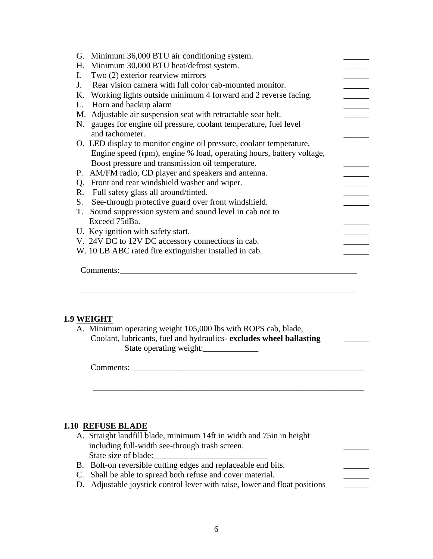|    | G. Minimum 36,000 BTU air conditioning system.                                                                                                                               |  |
|----|------------------------------------------------------------------------------------------------------------------------------------------------------------------------------|--|
|    | H. Minimum 30,000 BTU heat/defrost system.                                                                                                                                   |  |
| I. | Two (2) exterior rearview mirrors                                                                                                                                            |  |
| J. | Rear vision camera with full color cab-mounted monitor.                                                                                                                      |  |
|    | K. Working lights outside minimum 4 forward and 2 reverse facing.                                                                                                            |  |
|    | L. Horn and backup alarm                                                                                                                                                     |  |
|    | M. Adjustable air suspension seat with retractable seat belt.                                                                                                                |  |
|    | N. gauges for engine oil pressure, coolant temperature, fuel level                                                                                                           |  |
|    | and tachometer.                                                                                                                                                              |  |
|    | O. LED display to monitor engine oil pressure, coolant temperature,                                                                                                          |  |
|    | Engine speed (rpm), engine % load, operating hours, battery voltage,                                                                                                         |  |
|    | Boost pressure and transmission oil temperature.                                                                                                                             |  |
|    |                                                                                                                                                                              |  |
|    | P. AM/FM radio, CD player and speakers and antenna.                                                                                                                          |  |
|    | Q. Front and rear windshield washer and wiper.                                                                                                                               |  |
|    | R. Full safety glass all around/tinted.                                                                                                                                      |  |
|    | S. See-through protective guard over front windshield.                                                                                                                       |  |
|    | T. Sound suppression system and sound level in cab not to                                                                                                                    |  |
|    | Exceed 75dBa.                                                                                                                                                                |  |
|    | U. Key ignition with safety start.                                                                                                                                           |  |
|    | V. 24V DC to 12V DC accessory connections in cab.                                                                                                                            |  |
|    | W. 10 LB ABC rated fire extinguisher installed in cab.                                                                                                                       |  |
|    | Comments:                                                                                                                                                                    |  |
|    | 1.9 WEIGHT<br>A. Minimum operating weight 105,000 lbs with ROPS cab, blade,<br>Coolant, lubricants, fuel and hydraulics-excludes wheel ballasting<br>State operating weight: |  |
|    | Comments:                                                                                                                                                                    |  |
|    |                                                                                                                                                                              |  |
|    |                                                                                                                                                                              |  |
|    |                                                                                                                                                                              |  |
|    | <b>1.10 REFUSE BLADE</b>                                                                                                                                                     |  |

- including full-width see-through trash screen. State size of blade:
- B. Bolt-on reversible cutting edges and replaceable end bits.
- C. Shall be able to spread both refuse and cover material.
- D. Adjustable joystick control lever with raise, lower and float positions \_\_\_\_\_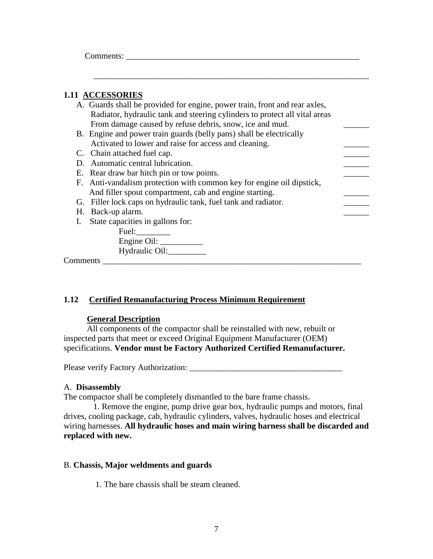Comments:

#### **1.11 ACCESSORIES**

| A. Guards shall be provided for engine, power train, front and rear axles, |  |
|----------------------------------------------------------------------------|--|
| Radiator, hydraulic tank and steering cylinders to protect all vital areas |  |
| From damage caused by refuse debris, snow, ice and mud.                    |  |
| B. Engine and power train guards (belly pans) shall be electrically        |  |
| Activated to lower and raise for access and cleaning.                      |  |
| C. Chain attached fuel cap.                                                |  |
| D. Automatic central lubrication.                                          |  |
| E. Rear draw bar hitch pin or tow points.                                  |  |
| F. Anti-vandalism protection with common key for engine oil dipstick,      |  |
| And filler spout compartment, cab and engine starting.                     |  |
| G. Filler lock caps on hydraulic tank, fuel tank and radiator.             |  |
| H. Back-up alarm.                                                          |  |
| I. State capacities in gallons for:                                        |  |
| Fuel:                                                                      |  |
| Engine Oil: $\qquad \qquad$                                                |  |
| Hydraulic Oil:                                                             |  |
| Comments                                                                   |  |

\_\_\_\_\_\_\_\_\_\_\_\_\_\_\_\_\_\_\_\_\_\_\_\_\_\_\_\_\_\_\_\_\_\_\_\_\_\_\_\_\_\_\_\_\_\_\_\_\_\_\_\_\_\_\_\_\_\_\_\_\_\_\_\_\_

#### **1.12 Certified Remanufacturing Process Minimum Requirement**

#### **General Description**

 All components of the compactor shall be reinstalled with new, rebuilt or inspected parts that meet or exceed Original Equipment Manufacturer (OEM) specifications. **Vendor must be Factory Authorized Certified Remanufacturer.**

Please verify Factory Authorization: \_\_\_\_\_\_\_\_\_\_\_\_\_\_\_\_\_\_\_\_\_\_\_\_\_\_\_\_\_\_\_\_\_\_\_\_

#### A. **Disassembly**

The compactor shall be completely dismantled to the bare frame chassis.

 1. Remove the engine, pump drive gear box, hydraulic pumps and motors, final drives, cooling package, cab, hydraulic cylinders, valves, hydraulic hoses and electrical wiring harnesses. **All hydraulic hoses and main wiring harness shall be discarded and replaced with new.**

#### B. **Chassis, Major weldments and guards**

1. The bare chassis shall be steam cleaned.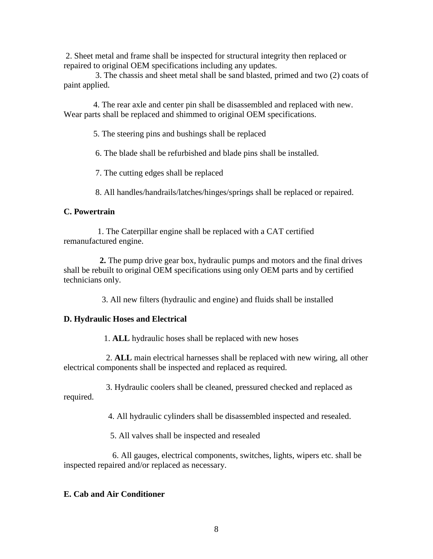2. Sheet metal and frame shall be inspected for structural integrity then replaced or repaired to original OEM specifications including any updates.

 3. The chassis and sheet metal shall be sand blasted, primed and two (2) coats of paint applied.

 4. The rear axle and center pin shall be disassembled and replaced with new. Wear parts shall be replaced and shimmed to original OEM specifications.

5. The steering pins and bushings shall be replaced

6. The blade shall be refurbished and blade pins shall be installed.

7. The cutting edges shall be replaced

8. All handles/handrails/latches/hinges/springs shall be replaced or repaired.

#### **C. Powertrain**

 1. The Caterpillar engine shall be replaced with a CAT certified remanufactured engine.

 **2.** The pump drive gear box, hydraulic pumps and motors and the final drives shall be rebuilt to original OEM specifications using only OEM parts and by certified technicians only.

3. All new filters (hydraulic and engine) and fluids shall be installed

#### **D. Hydraulic Hoses and Electrical**

1. **ALL** hydraulic hoses shall be replaced with new hoses

 2. **ALL** main electrical harnesses shall be replaced with new wiring, all other electrical components shall be inspected and replaced as required.

 3. Hydraulic coolers shall be cleaned, pressured checked and replaced as required.

4. All hydraulic cylinders shall be disassembled inspected and resealed.

5. All valves shall be inspected and resealed

 6. All gauges, electrical components, switches, lights, wipers etc. shall be inspected repaired and/or replaced as necessary.

## **E. Cab and Air Conditioner**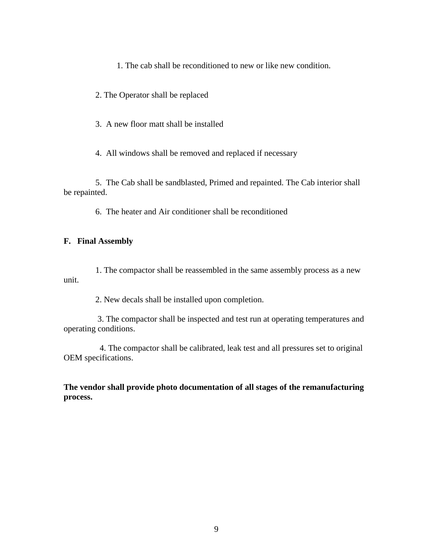1. The cab shall be reconditioned to new or like new condition.

2. The Operator shall be replaced

3. A new floor matt shall be installed

4. All windows shall be removed and replaced if necessary

 5. The Cab shall be sandblasted, Primed and repainted. The Cab interior shall be repainted.

6. The heater and Air conditioner shall be reconditioned

#### **F. Final Assembly**

1. The compactor shall be reassembled in the same assembly process as a new unit.

2. New decals shall be installed upon completion.

 3. The compactor shall be inspected and test run at operating temperatures and operating conditions.

 4. The compactor shall be calibrated, leak test and all pressures set to original OEM specifications.

**The vendor shall provide photo documentation of all stages of the remanufacturing process.**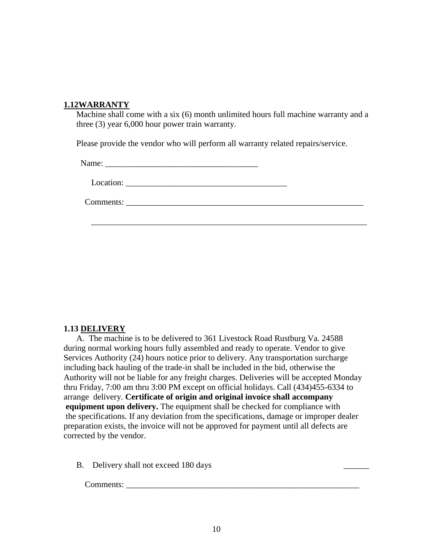#### **1.12WARRANTY**

Machine shall come with a six (6) month unlimited hours full machine warranty and a three (3) year 6,000 hour power train warranty.

\_\_\_\_\_\_\_\_\_\_\_\_\_\_\_\_\_\_\_\_\_\_\_\_\_\_\_\_\_\_\_\_\_\_\_\_\_\_\_\_\_\_\_\_\_\_\_\_\_\_\_\_\_\_\_\_\_\_\_\_\_\_\_\_\_

Please provide the vendor who will perform all warranty related repairs/service.

Name:

Location:

Comments: \_\_\_\_\_\_\_\_\_\_\_\_\_\_\_\_\_\_\_\_\_\_\_\_\_\_\_\_\_\_\_\_\_\_\_\_\_\_\_\_\_\_\_\_\_\_\_\_\_\_\_\_\_\_\_\_

## **1.13 DELIVERY**

A. The machine is to be delivered to 361 Livestock Road Rustburg Va. 24588 during normal working hours fully assembled and ready to operate. Vendor to give Services Authority (24) hours notice prior to delivery. Any transportation surcharge including back hauling of the trade-in shall be included in the bid, otherwise the Authority will not be liable for any freight charges. Deliveries will be accepted Monday thru Friday, 7:00 am thru 3:00 PM except on official holidays. Call (434)455-6334 to arrange delivery. **Certificate of origin and original invoice shall accompany equipment upon delivery.** The equipment shall be checked for compliance with the specifications. If any deviation from the specifications, damage or improper dealer preparation exists, the invoice will not be approved for payment until all defects are corrected by the vendor.

B. Delivery shall not exceed 180 days

Comments: \_\_\_\_\_\_\_\_\_\_\_\_\_\_\_\_\_\_\_\_\_\_\_\_\_\_\_\_\_\_\_\_\_\_\_\_\_\_\_\_\_\_\_\_\_\_\_\_\_\_\_\_\_\_\_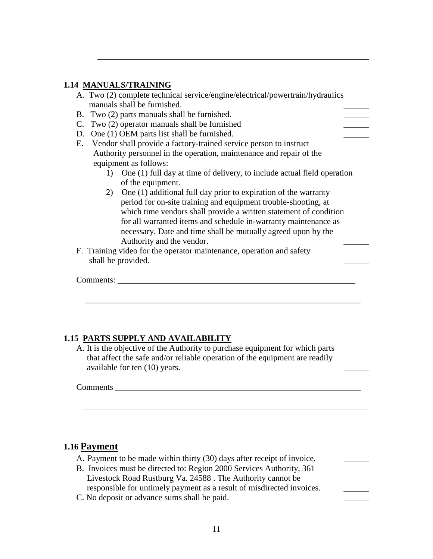#### **1.14 MANUALS/TRAINING**

|    | A. Two (2) complete technical service/engine/electrical/powertrain/hydraulics |
|----|-------------------------------------------------------------------------------|
|    | manuals shall be furnished.                                                   |
|    | B. Two (2) parts manuals shall be furnished.                                  |
| C. | Two (2) operator manuals shall be furnished                                   |
| D. | One (1) OEM parts list shall be furnished.                                    |
| Е. | Vendor shall provide a factory-trained service person to instruct             |
|    | Authority personnel in the operation, maintenance and repair of the           |
|    | equipment as follows:                                                         |
|    | One (1) full day at time of delivery, to include actual field operation       |
|    | of the equipment.                                                             |
| 2) | One (1) additional full day prior to expiration of the warranty               |
|    | period for on-site training and equipment trouble-shooting, at                |
|    | which time vendors shall provide a written statement of condition             |
|    | for all warranted items and schedule in-warranty maintenance as               |
|    | necessary. Date and time shall be mutually agreed upon by the                 |
|    | Authority and the vendor.                                                     |
|    | F. Training video for the operator maintenance, operation and safety          |
|    | shall be provided.                                                            |

\_\_\_\_\_\_\_\_\_\_\_\_\_\_\_\_\_\_\_\_\_\_\_\_\_\_\_\_\_\_\_\_\_\_\_\_\_\_\_\_\_\_\_\_\_\_\_\_\_\_\_\_\_\_\_\_\_\_\_\_\_\_\_\_

## **1.15 PARTS SUPPLY AND AVAILABILITY**

A. It is the objective of the Authority to purchase equipment for which parts that affect the safe and/or reliable operation of the equipment are readily available for ten (10) years.

 $\overline{\phantom{a}}$  , and the contribution of the contribution of the contribution of the contribution of the contribution of  $\overline{\phantom{a}}$ 

 $\overline{\phantom{a}}$  , and the contribution of the contribution of the contribution of the contribution of the contribution of the contribution of the contribution of the contribution of the contribution of the contribution of the

Comments \_\_\_\_\_\_\_\_\_\_\_\_\_\_\_\_\_\_\_\_\_\_\_\_\_\_\_\_\_\_\_\_\_\_\_\_\_\_\_\_\_\_\_\_\_\_\_\_\_\_\_\_\_\_\_\_\_\_

## **1.16 Payment**

| A. Payment to be made within thirty (30) days after receipt of invoice. |  |
|-------------------------------------------------------------------------|--|
| B. Invoices must be directed to: Region 2000 Services Authority, 361    |  |
| Livestock Road Rustburg Va. 24588. The Authority cannot be              |  |
| responsible for untimely payment as a result of misdirected invoices.   |  |

C. No deposit or advance sums shall be paid.